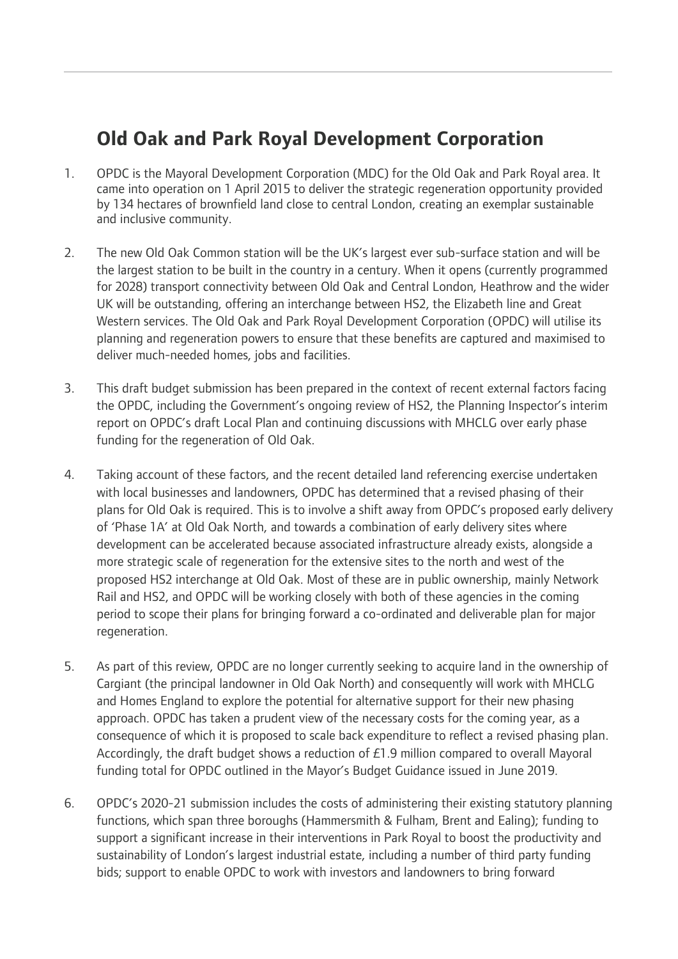# **Old Oak and Park Royal Development Corporation**

- 1. OPDC is the Mayoral Development Corporation (MDC) for the Old Oak and Park Royal area. It came into operation on 1 April 2015 to deliver the strategic regeneration opportunity provided by 134 hectares of brownfield land close to central London, creating an exemplar sustainable and inclusive community.
- 2. The new Old Oak Common station will be the UK's largest ever sub-surface station and will be the largest station to be built in the country in a century. When it opens (currently programmed for 2028) transport connectivity between Old Oak and Central London, Heathrow and the wider UK will be outstanding, offering an interchange between HS2, the Elizabeth line and Great Western services. The Old Oak and Park Royal Development Corporation (OPDC) will utilise its planning and regeneration powers to ensure that these benefits are captured and maximised to deliver much-needed homes, jobs and facilities.
- 3. This draft budget submission has been prepared in the context of recent external factors facing the OPDC, including the Government's ongoing review of HS2, the Planning Inspector's interim report on OPDC's draft Local Plan and continuing discussions with MHCLG over early phase funding for the regeneration of Old Oak.
- 4. Taking account of these factors, and the recent detailed land referencing exercise undertaken with local businesses and landowners, OPDC has determined that a revised phasing of their plans for Old Oak is required. This is to involve a shift away from OPDC's proposed early delivery of 'Phase 1A' at Old Oak North, and towards a combination of early delivery sites where development can be accelerated because associated infrastructure already exists, alongside a more strategic scale of regeneration for the extensive sites to the north and west of the proposed HS2 interchange at Old Oak. Most of these are in public ownership, mainly Network Rail and HS2, and OPDC will be working closely with both of these agencies in the coming period to scope their plans for bringing forward a co-ordinated and deliverable plan for major regeneration.
- 5. As part of this review, OPDC are no longer currently seeking to acquire land in the ownership of Cargiant (the principal landowner in Old Oak North) and consequently will work with MHCLG and Homes England to explore the potential for alternative support for their new phasing approach. OPDC has taken a prudent view of the necessary costs for the coming year, as a consequence of which it is proposed to scale back expenditure to reflect a revised phasing plan. Accordingly, the draft budget shows a reduction of £1.9 million compared to overall Mayoral funding total for OPDC outlined in the Mayor's Budget Guidance issued in June 2019.
- 6. OPDC's 2020-21 submission includes the costs of administering their existing statutory planning functions, which span three boroughs (Hammersmith & Fulham, Brent and Ealing); funding to support a significant increase in their interventions in Park Royal to boost the productivity and sustainability of London's largest industrial estate, including a number of third party funding bids; support to enable OPDC to work with investors and landowners to bring forward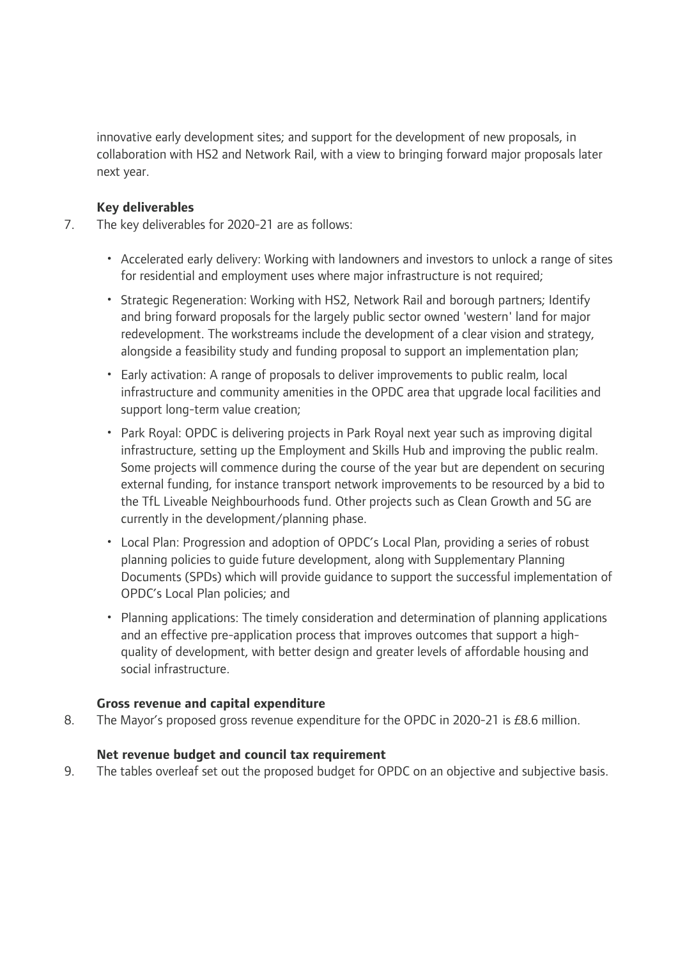innovative early development sites; and support for the development of new proposals, in collaboration with HS2 and Network Rail, with a view to bringing forward major proposals later next year.

## **Key deliverables**

- 7. The key deliverables for 2020-21 are as follows:
	- Accelerated early delivery: Working with landowners and investors to unlock a range of sites for residential and employment uses where major infrastructure is not required;
	- Strategic Regeneration: Working with HS2, Network Rail and borough partners; Identify and bring forward proposals for the largely public sector owned 'western' land for major redevelopment. The workstreams include the development of a clear vision and strategy, alongside a feasibility study and funding proposal to support an implementation plan;
	- Early activation: A range of proposals to deliver improvements to public realm, local infrastructure and community amenities in the OPDC area that upgrade local facilities and support long-term value creation;
	- Park Royal: OPDC is delivering projects in Park Royal next year such as improving digital infrastructure, setting up the Employment and Skills Hub and improving the public realm. Some projects will commence during the course of the year but are dependent on securing external funding, for instance transport network improvements to be resourced by a bid to the TfL Liveable Neighbourhoods fund. Other projects such as Clean Growth and 5G are currently in the development/planning phase.
	- Local Plan: Progression and adoption of OPDC's Local Plan, providing a series of robust planning policies to guide future development, along with Supplementary Planning Documents (SPDs) which will provide guidance to support the successful implementation of OPDC's Local Plan policies; and
	- Planning applications: The timely consideration and determination of planning applications and an effective pre-application process that improves outcomes that support a highquality of development, with better design and greater levels of affordable housing and social infrastructure.

#### **Gross revenue and capital expenditure**

8. The Mayor's proposed gross revenue expenditure for the OPDC in 2020-21 is £8.6 million.

#### **Net revenue budget and council tax requirement**

9. The tables overleaf set out the proposed budget for OPDC on an objective and subjective basis.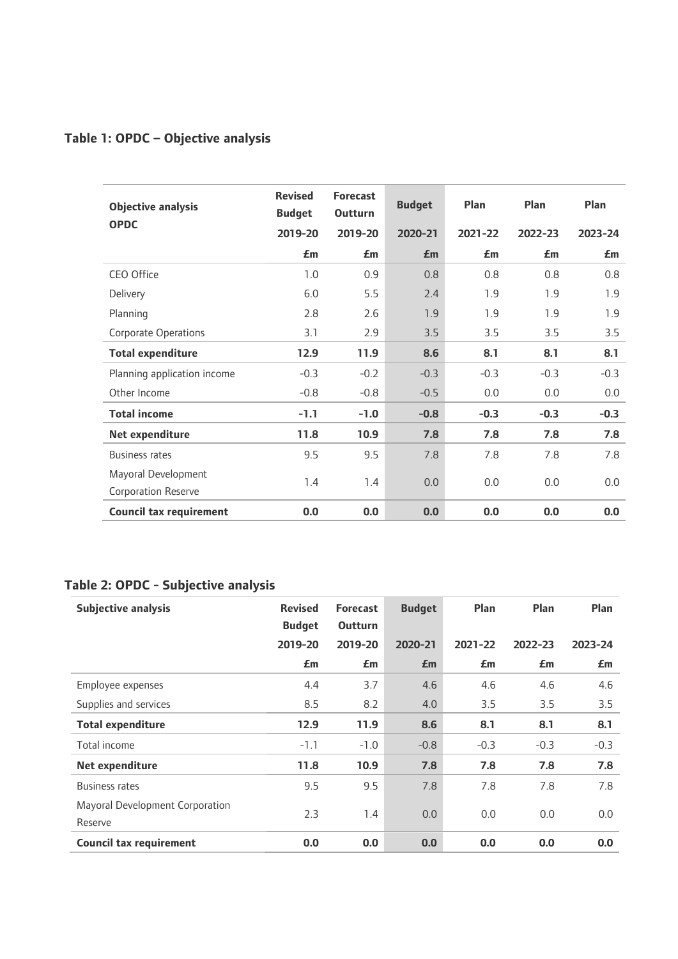# **Table 1: OPDC – Objective analysis**

| <b>Objective analysis</b><br><b>OPDC</b>          | <b>Revised</b><br><b>Budget</b> | <b>Forecast</b><br><b>Outturn</b> | <b>Budget</b> | Plan    | Plan    | Plan    |
|---------------------------------------------------|---------------------------------|-----------------------------------|---------------|---------|---------|---------|
|                                                   | 2019-20                         | 2019-20                           | 2020-21       | 2021-22 | 2022-23 | 2023-24 |
|                                                   | £m                              | £m                                | Em            | £m      | £m      | £m      |
| CEO Office                                        | 1.0                             | 0.9                               | 0.8           | 0.8     | 0.8     | 0.8     |
| Delivery                                          | 6.0                             | 5.5                               | 2.4           | 1.9     | 1.9     | 1.9     |
| Planning                                          | 2.8                             | 2.6                               | 1.9           | 1.9     | 1.9     | 1.9     |
| <b>Corporate Operations</b>                       | 3.1                             | 2.9                               | 3.5           | 3.5     | 3.5     | 3.5     |
| <b>Total expenditure</b>                          | 12.9                            | 11.9                              | 8.6           | 8.1     | 8.1     | 8.1     |
| Planning application income                       | $-0.3$                          | $-0.2$                            | $-0.3$        | $-0.3$  | $-0.3$  | $-0.3$  |
| Other Income                                      | $-0.8$                          | $-0.8$                            | $-0.5$        | 0.0     | 0.0     | 0.0     |
| <b>Total income</b>                               | $-1.1$                          | $-1.0$                            | $-0.8$        | $-0.3$  | $-0.3$  | $-0.3$  |
| Net expenditure                                   | 11.8                            | 10.9                              | 7.8           | 7.8     | 7.8     | 7.8     |
| <b>Business rates</b>                             | 9.5                             | 9.5                               | 7.8           | 7.8     | 7.8     | 7.8     |
| Mayoral Development<br><b>Corporation Reserve</b> | 1.4                             | 1.4                               | 0.0           | 0.0     | 0.0     | 0.0     |
| <b>Council tax requirement</b>                    | 0.0                             | 0.0                               | 0.0           | 0.0     | 0.0     | 0.0     |

# **Table 2: OPDC - Subjective analysis**

| <b>Subjective analysis</b>                 | <b>Revised</b><br><b>Budget</b> | <b>Forecast</b><br><b>Outturn</b> | <b>Budget</b> | Plan    | Plan    | Plan    |
|--------------------------------------------|---------------------------------|-----------------------------------|---------------|---------|---------|---------|
|                                            | 2019-20                         | 2019-20                           | 2020-21       | 2021-22 | 2022-23 | 2023-24 |
|                                            | £m                              | £m                                | £m            | £m      | £m      | £m      |
| Employee expenses                          | 4.4                             | 3.7                               | 4.6           | 4.6     | 4.6     | 4.6     |
| Supplies and services                      | 8.5                             | 8.2                               | 4.0           | 3.5     | 3.5     | 3.5     |
| <b>Total expenditure</b>                   | 12.9                            | 11.9                              | 8.6           | 8.1     | 8.1     | 8.1     |
| Total income                               | $-1.1$                          | $-1.0$                            | $-0.8$        | $-0.3$  | $-0.3$  | $-0.3$  |
| Net expenditure                            | 11.8                            | 10.9                              | 7.8           | 7.8     | 7.8     | 7.8     |
| <b>Business rates</b>                      | 9.5                             | 9.5                               | 7.8           | 7.8     | 7.8     | 7.8     |
| Mayoral Development Corporation<br>Reserve | 2.3                             | 1.4                               | 0.0           | 0.0     | 0.0     | 0.0     |
| <b>Council tax requirement</b>             | 0.0                             | 0.0                               | 0.0           | 0.0     | 0.0     | 0.0     |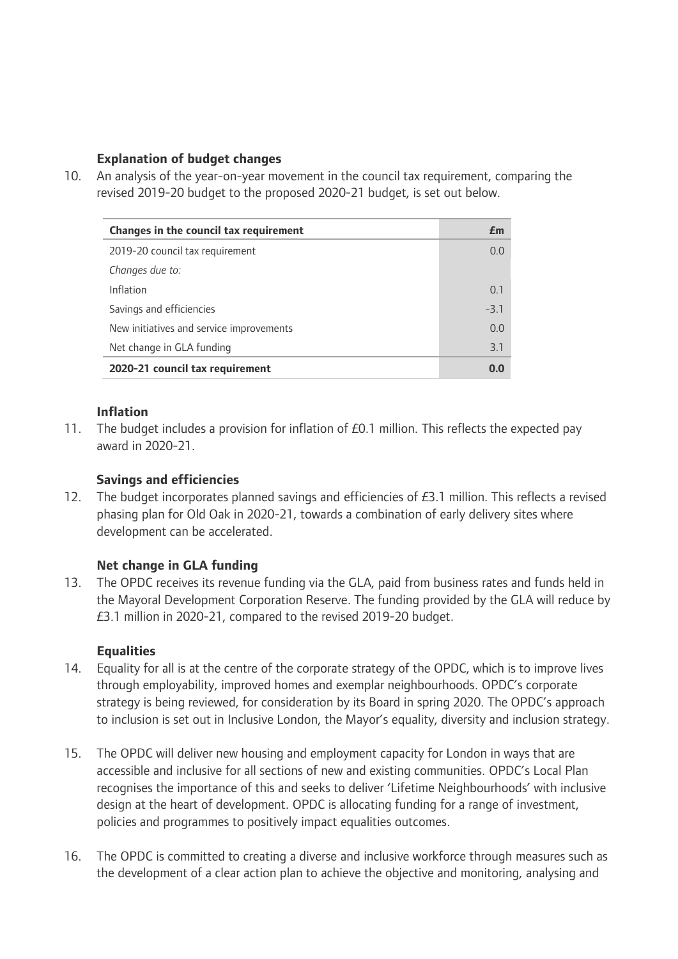## **Explanation of budget changes**

10. An analysis of the year-on-year movement in the council tax requirement, comparing the revised 2019-20 budget to the proposed 2020-21 budget, is set out below.

| Changes in the council tax requirement   | £m     |
|------------------------------------------|--------|
| 2019-20 council tax requirement          | 0.0    |
| Changes due to:                          |        |
| Inflation                                | 0.1    |
| Savings and efficiencies                 | $-3.1$ |
| New initiatives and service improvements | 0.0    |
| Net change in GLA funding                | 3.1    |
| 2020-21 council tax requirement          | 00     |

# **Inflation**

11. The budget includes a provision for inflation of £0.1 million. This reflects the expected pay award in 2020-21.

## **Savings and efficiencies**

12. The budget incorporates planned savings and efficiencies of £3.1 million. This reflects a revised phasing plan for Old Oak in 2020-21, towards a combination of early delivery sites where development can be accelerated.

# **Net change in GLA funding**

13. The OPDC receives its revenue funding via the GLA, paid from business rates and funds held in the Mayoral Development Corporation Reserve. The funding provided by the GLA will reduce by £3.1 million in 2020-21, compared to the revised 2019-20 budget.

#### **Equalities**

- 14. Equality for all is at the centre of the corporate strategy of the OPDC, which is to improve lives through employability, improved homes and exemplar neighbourhoods. OPDC's corporate strategy is being reviewed, for consideration by its Board in spring 2020. The OPDC's approach to inclusion is set out in Inclusive London, the Mayor's equality, diversity and inclusion strategy.
- 15. The OPDC will deliver new housing and employment capacity for London in ways that are accessible and inclusive for all sections of new and existing communities. OPDC's Local Plan recognises the importance of this and seeks to deliver 'Lifetime Neighbourhoods' with inclusive design at the heart of development. OPDC is allocating funding for a range of investment, policies and programmes to positively impact equalities outcomes.
- 16. The OPDC is committed to creating a diverse and inclusive workforce through measures such as the development of a clear action plan to achieve the objective and monitoring, analysing and